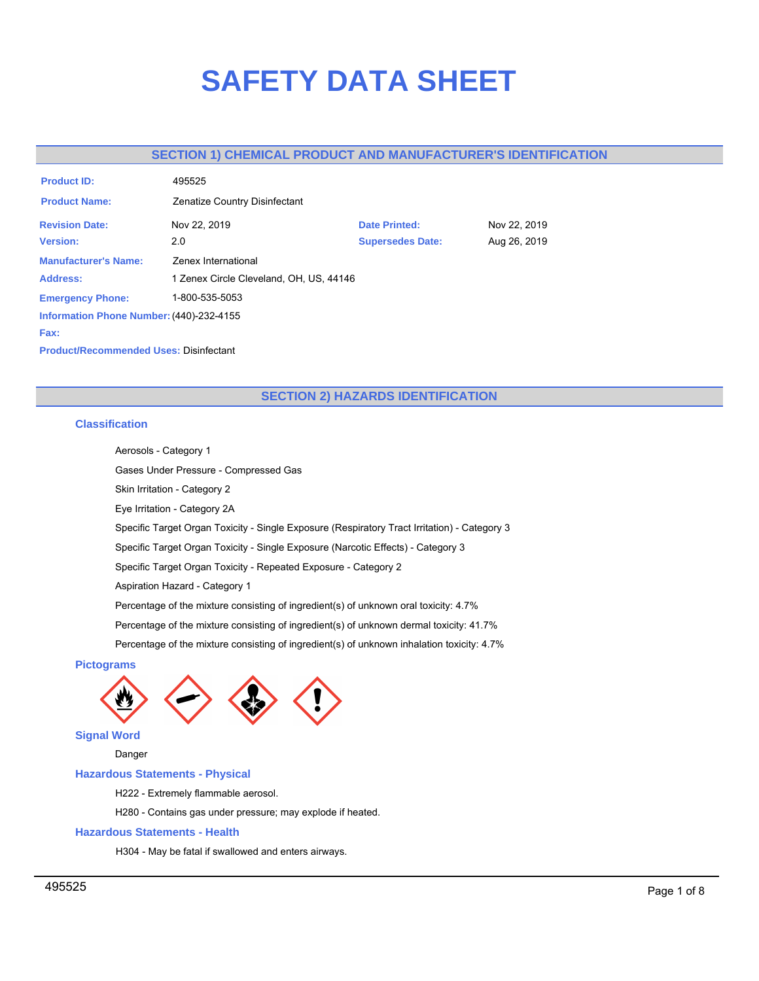# **SAFETY DATA SHEET**

# **SECTION 1) CHEMICAL PRODUCT AND MANUFACTURER'S IDENTIFICATION**

| <b>Product ID:</b>                            | 495525                                  |                         |              |
|-----------------------------------------------|-----------------------------------------|-------------------------|--------------|
| <b>Product Name:</b>                          | Zenatize Country Disinfectant           |                         |              |
| <b>Revision Date:</b>                         | Nov 22, 2019                            | <b>Date Printed:</b>    | Nov 22, 2019 |
| <b>Version:</b>                               | 2.0                                     | <b>Supersedes Date:</b> | Aug 26, 2019 |
| <b>Manufacturer's Name:</b>                   | Zenex International                     |                         |              |
| Address:                                      | 1 Zenex Circle Cleveland, OH, US, 44146 |                         |              |
| <b>Emergency Phone:</b>                       | 1-800-535-5053                          |                         |              |
| Information Phone Number: (440)-232-4155      |                                         |                         |              |
| Fax:                                          |                                         |                         |              |
| <b>Product/Recommended Uses: Disinfectant</b> |                                         |                         |              |

# **SECTION 2) HAZARDS IDENTIFICATION**

# **Classification**

Aerosols - Category 1

Gases Under Pressure - Compressed Gas

Skin Irritation - Category 2

Eye Irritation - Category 2A

Specific Target Organ Toxicity - Single Exposure (Respiratory Tract Irritation) - Category 3

Specific Target Organ Toxicity - Single Exposure (Narcotic Effects) - Category 3

Specific Target Organ Toxicity - Repeated Exposure - Category 2

Aspiration Hazard - Category 1

Percentage of the mixture consisting of ingredient(s) of unknown oral toxicity: 4.7%

Percentage of the mixture consisting of ingredient(s) of unknown dermal toxicity: 41.7%

Percentage of the mixture consisting of ingredient(s) of unknown inhalation toxicity: 4.7%

# **Pictograms**



**Signal Word**

Danger

## **Hazardous Statements - Physical**

H222 - Extremely flammable aerosol.

H280 - Contains gas under pressure; may explode if heated.

# **Hazardous Statements - Health**

H304 - May be fatal if swallowed and enters airways.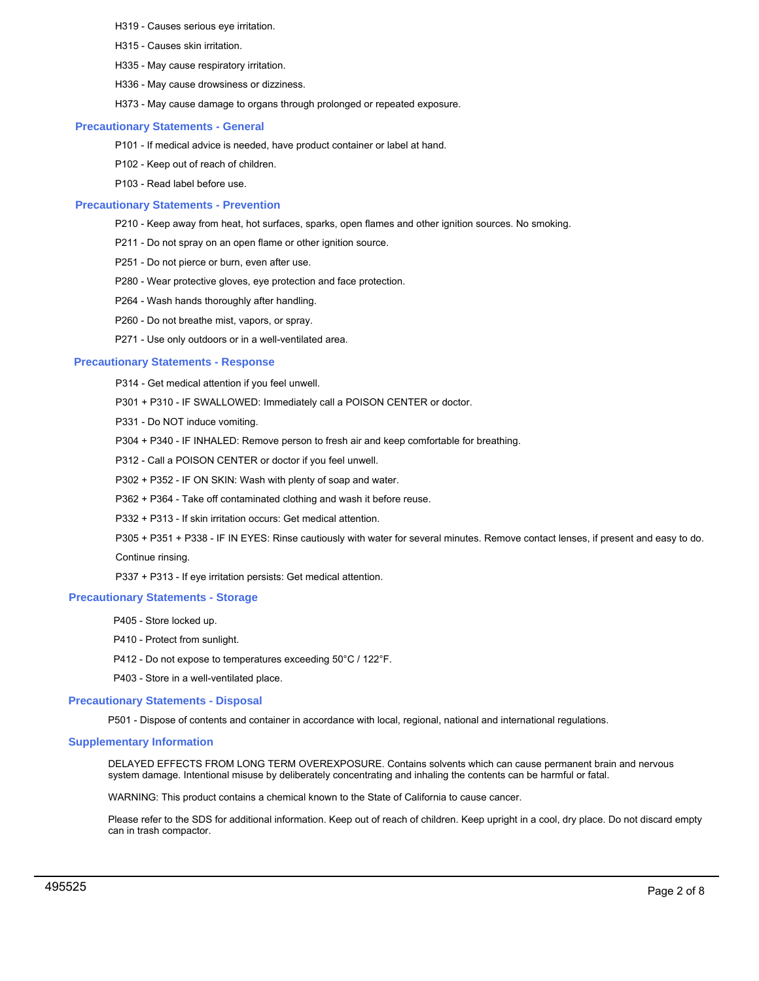- H319 Causes serious eye irritation.
- H315 Causes skin irritation.
- H335 May cause respiratory irritation.
- H336 May cause drowsiness or dizziness.
- H373 May cause damage to organs through prolonged or repeated exposure.

## **Precautionary Statements - General**

- P101 If medical advice is needed, have product container or label at hand.
- P102 Keep out of reach of children.
- P103 Read label before use.

## **Precautionary Statements - Prevention**

- P210 Keep away from heat, hot surfaces, sparks, open flames and other ignition sources. No smoking.
- P211 Do not spray on an open flame or other ignition source.
- P251 Do not pierce or burn, even after use.
- P280 Wear protective gloves, eye protection and face protection.
- P264 Wash hands thoroughly after handling.
- P260 Do not breathe mist, vapors, or spray.
- P271 Use only outdoors or in a well-ventilated area.

## **Precautionary Statements - Response**

- P314 Get medical attention if you feel unwell.
- P301 + P310 IF SWALLOWED: Immediately call a POISON CENTER or doctor.
- P331 Do NOT induce vomiting.
- P304 + P340 IF INHALED: Remove person to fresh air and keep comfortable for breathing.
- P312 Call a POISON CENTER or doctor if you feel unwell.
- P302 + P352 IF ON SKIN: Wash with plenty of soap and water.
- P362 + P364 Take off contaminated clothing and wash it before reuse.
- P332 + P313 If skin irritation occurs: Get medical attention.

P305 + P351 + P338 - IF IN EYES: Rinse cautiously with water for several minutes. Remove contact lenses, if present and easy to do. Continue rinsing.

P337 + P313 - If eye irritation persists: Get medical attention.

## **Precautionary Statements - Storage**

- P405 Store locked up.
- P410 Protect from sunlight.
- P412 Do not expose to temperatures exceeding 50°C / 122°F.
- P403 Store in a well-ventilated place.

## **Precautionary Statements - Disposal**

P501 - Dispose of contents and container in accordance with local, regional, national and international regulations.

## **Supplementary Information**

DELAYED EFFECTS FROM LONG TERM OVEREXPOSURE. Contains solvents which can cause permanent brain and nervous system damage. Intentional misuse by deliberately concentrating and inhaling the contents can be harmful or fatal.

WARNING: This product contains a chemical known to the State of California to cause cancer.

Please refer to the SDS for additional information. Keep out of reach of children. Keep upright in a cool, dry place. Do not discard empty can in trash compactor.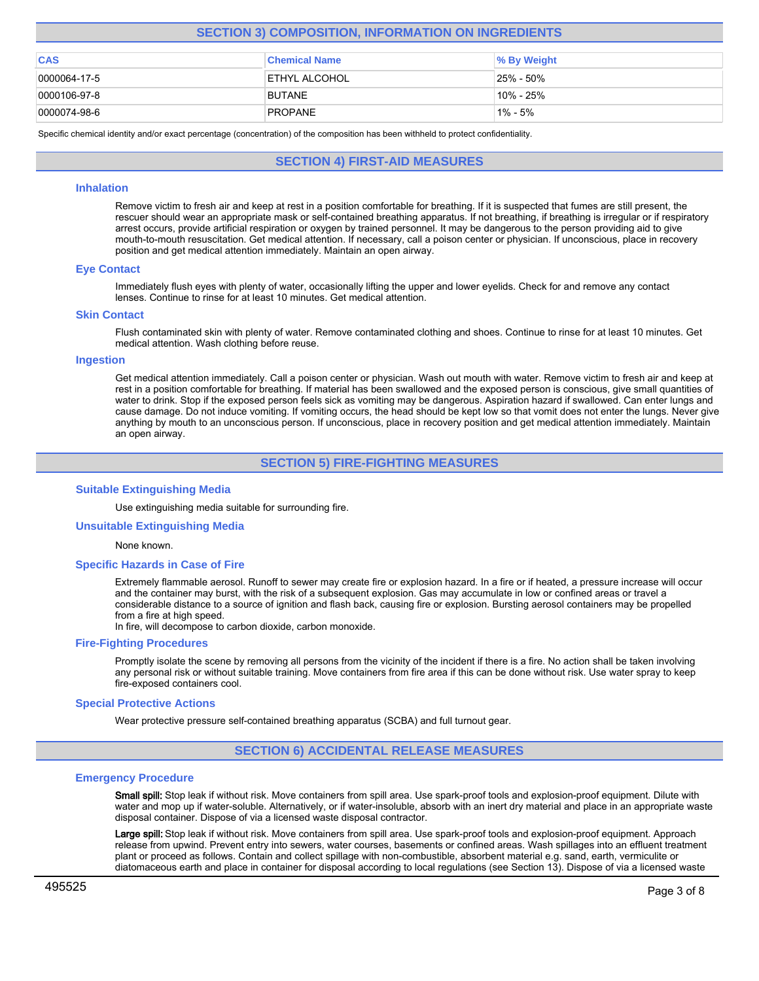# **SECTION 3) COMPOSITION, INFORMATION ON INGREDIENTS**

| <b>CAS</b>           | <b>Chemical Name</b>  | % By Weight |
|----------------------|-----------------------|-------------|
| 0000064-17-5         | <b>IETHYL ALCOHOL</b> | 25% - 50%   |
| $ 0000106 - 97 - 8 $ | <b>BUTANE</b>         | 10% - 25%   |
| $ 0000074-98-6 $     | <b>PROPANE</b>        | 1% - 5%     |

Specific chemical identity and/or exact percentage (concentration) of the composition has been withheld to protect confidentiality.

**SECTION 4) FIRST-AID MEASURES**

## **Inhalation**

Remove victim to fresh air and keep at rest in a position comfortable for breathing. If it is suspected that fumes are still present, the rescuer should wear an appropriate mask or self-contained breathing apparatus. If not breathing, if breathing is irregular or if respiratory arrest occurs, provide artificial respiration or oxygen by trained personnel. It may be dangerous to the person providing aid to give mouth-to-mouth resuscitation. Get medical attention. If necessary, call a poison center or physician. If unconscious, place in recovery position and get medical attention immediately. Maintain an open airway.

## **Eye Contact**

Immediately flush eyes with plenty of water, occasionally lifting the upper and lower eyelids. Check for and remove any contact lenses. Continue to rinse for at least 10 minutes. Get medical attention.

## **Skin Contact**

Flush contaminated skin with plenty of water. Remove contaminated clothing and shoes. Continue to rinse for at least 10 minutes. Get medical attention. Wash clothing before reuse.

## **Ingestion**

Get medical attention immediately. Call a poison center or physician. Wash out mouth with water. Remove victim to fresh air and keep at rest in a position comfortable for breathing. If material has been swallowed and the exposed person is conscious, give small quantities of water to drink. Stop if the exposed person feels sick as vomiting may be dangerous. Aspiration hazard if swallowed. Can enter lungs and cause damage. Do not induce vomiting. If vomiting occurs, the head should be kept low so that vomit does not enter the lungs. Never give anything by mouth to an unconscious person. If unconscious, place in recovery position and get medical attention immediately. Maintain an open airway.

# **SECTION 5) FIRE-FIGHTING MEASURES**

## **Suitable Extinguishing Media**

Use extinguishing media suitable for surrounding fire.

#### **Unsuitable Extinguishing Media**

#### None known.

#### **Specific Hazards in Case of Fire**

Extremely flammable aerosol. Runoff to sewer may create fire or explosion hazard. In a fire or if heated, a pressure increase will occur and the container may burst, with the risk of a subsequent explosion. Gas may accumulate in low or confined areas or travel a considerable distance to a source of ignition and flash back, causing fire or explosion. Bursting aerosol containers may be propelled from a fire at high speed.

In fire, will decompose to carbon dioxide, carbon monoxide.

#### **Fire-Fighting Procedures**

Promptly isolate the scene by removing all persons from the vicinity of the incident if there is a fire. No action shall be taken involving any personal risk or without suitable training. Move containers from fire area if this can be done without risk. Use water spray to keep fire-exposed containers cool.

#### **Special Protective Actions**

Wear protective pressure self-contained breathing apparatus (SCBA) and full turnout gear.

## **SECTION 6) ACCIDENTAL RELEASE MEASURES**

#### **Emergency Procedure**

Small spill: Stop leak if without risk. Move containers from spill area. Use spark-proof tools and explosion-proof equipment. Dilute with water and mop up if water-soluble. Alternatively, or if water-insoluble, absorb with an inert dry material and place in an appropriate waste disposal container. Dispose of via a licensed waste disposal contractor.

Large spill: Stop leak if without risk. Move containers from spill area. Use spark-proof tools and explosion-proof equipment. Approach release from upwind. Prevent entry into sewers, water courses, basements or confined areas. Wash spillages into an effluent treatment plant or proceed as follows. Contain and collect spillage with non-combustible, absorbent material e.g. sand, earth, vermiculite or diatomaceous earth and place in container for disposal according to local regulations (see Section 13). Dispose of via a licensed waste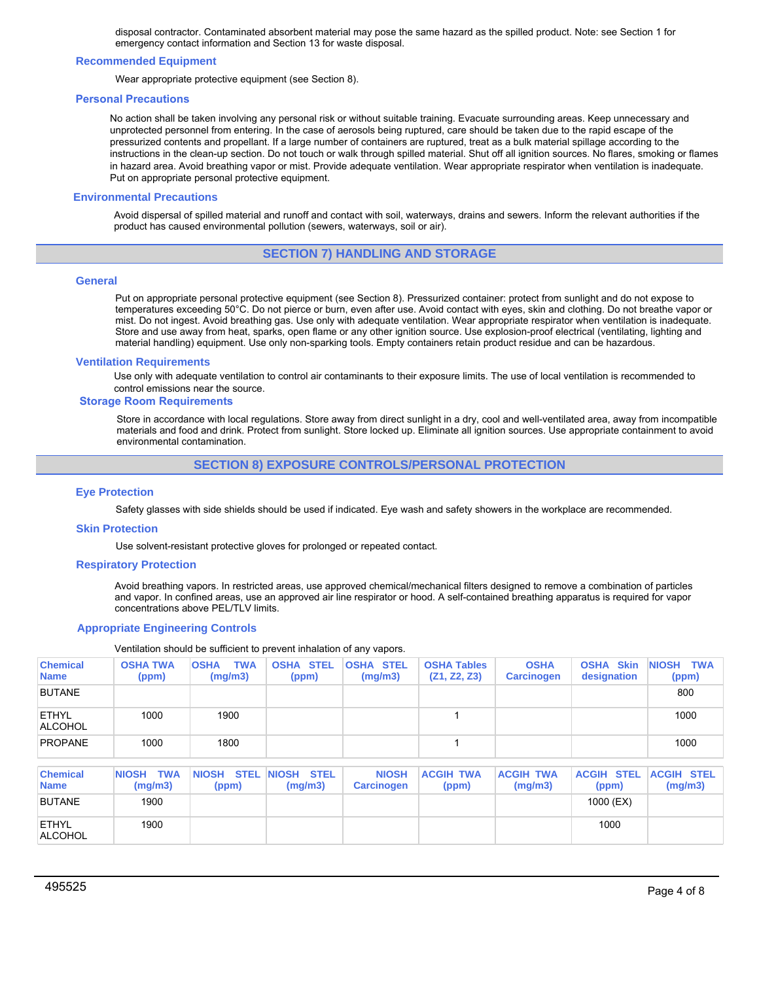disposal contractor. Contaminated absorbent material may pose the same hazard as the spilled product. Note: see Section 1 for emergency contact information and Section 13 for waste disposal.

## **Recommended Equipment**

Wear appropriate protective equipment (see Section 8).

#### **Personal Precautions**

No action shall be taken involving any personal risk or without suitable training. Evacuate surrounding areas. Keep unnecessary and unprotected personnel from entering. In the case of aerosols being ruptured, care should be taken due to the rapid escape of the pressurized contents and propellant. If a large number of containers are ruptured, treat as a bulk material spillage according to the instructions in the clean-up section. Do not touch or walk through spilled material. Shut off all ignition sources. No flares, smoking or flames in hazard area. Avoid breathing vapor or mist. Provide adequate ventilation. Wear appropriate respirator when ventilation is inadequate. Put on appropriate personal protective equipment.

## **Environmental Precautions**

Avoid dispersal of spilled material and runoff and contact with soil, waterways, drains and sewers. Inform the relevant authorities if the product has caused environmental pollution (sewers, waterways, soil or air).

## **SECTION 7) HANDLING AND STORAGE**

## **General**

Put on appropriate personal protective equipment (see Section 8). Pressurized container: protect from sunlight and do not expose to temperatures exceeding 50°C. Do not pierce or burn, even after use. Avoid contact with eyes, skin and clothing. Do not breathe vapor or mist. Do not ingest. Avoid breathing gas. Use only with adequate ventilation. Wear appropriate respirator when ventilation is inadequate. Store and use away from heat, sparks, open flame or any other ignition source. Use explosion-proof electrical (ventilating, lighting and material handling) equipment. Use only non-sparking tools. Empty containers retain product residue and can be hazardous.

#### **Ventilation Requirements**

Use only with adequate ventilation to control air contaminants to their exposure limits. The use of local ventilation is recommended to control emissions near the source.

#### **Storage Room Requirements**

Store in accordance with local regulations. Store away from direct sunlight in a dry, cool and well-ventilated area, away from incompatible materials and food and drink. Protect from sunlight. Store locked up. Eliminate all ignition sources. Use appropriate containment to avoid environmental contamination.

## **SECTION 8) EXPOSURE CONTROLS/PERSONAL PROTECTION**

#### **Eye Protection**

Safety glasses with side shields should be used if indicated. Eye wash and safety showers in the workplace are recommended.

## **Skin Protection**

Use solvent-resistant protective gloves for prolonged or repeated contact.

## **Respiratory Protection**

Avoid breathing vapors. In restricted areas, use approved chemical/mechanical filters designed to remove a combination of particles and vapor. In confined areas, use an approved air line respirator or hood. A self-contained breathing apparatus is required for vapor concentrations above PEL/TLV limits.

## **Appropriate Engineering Controls**

Ventilation should be sufficient to prevent inhalation of any vapors.

| <b>Chemical</b><br><b>Name</b> | <b>OSHA TWA</b><br>(ppm)              | <b>TWA</b><br><b>OSHA</b><br>(mg/m3) | <b>OSHA STEL</b><br>(ppm)              | <b>OSHA STEL</b><br>(mg/m3)       | <b>OSHA Tables</b><br>(Z1, Z2, Z3) | <b>OSHA</b><br><b>Carcinogen</b> | <b>OSHA Skin</b><br>designation | <b>NIOSH</b><br><b>TWA</b><br>(ppm) |
|--------------------------------|---------------------------------------|--------------------------------------|----------------------------------------|-----------------------------------|------------------------------------|----------------------------------|---------------------------------|-------------------------------------|
| <b>BUTANE</b>                  |                                       |                                      |                                        |                                   |                                    |                                  |                                 | 800                                 |
| <b>ETHYL</b><br><b>ALCOHOL</b> | 1000                                  | 1900                                 |                                        |                                   |                                    |                                  |                                 | 1000                                |
| <b>PROPANE</b>                 | 1000                                  | 1800                                 |                                        |                                   |                                    |                                  |                                 | 1000                                |
| <b>Chemical</b><br><b>Name</b> | <b>TWA</b><br><b>NIOSH</b><br>(mg/m3) | <b>STEL</b><br><b>NIOSH</b><br>(ppm) | <b>NIOSH</b><br><b>STEL</b><br>(mg/m3) | <b>NIOSH</b><br><b>Carcinogen</b> | <b>ACGIH TWA</b><br>(ppm)          | <b>ACGIH TWA</b><br>(mg/m3)      | <b>ACGIH STEL</b><br>(ppm)      | <b>ACGIH STEL</b><br>(mg/m3)        |
| <b>BUTANE</b>                  | 1900                                  |                                      |                                        |                                   |                                    |                                  | 1000 (EX)                       |                                     |
| <b>ETHYL</b><br><b>ALCOHOL</b> | 1900                                  |                                      |                                        |                                   |                                    |                                  | 1000                            |                                     |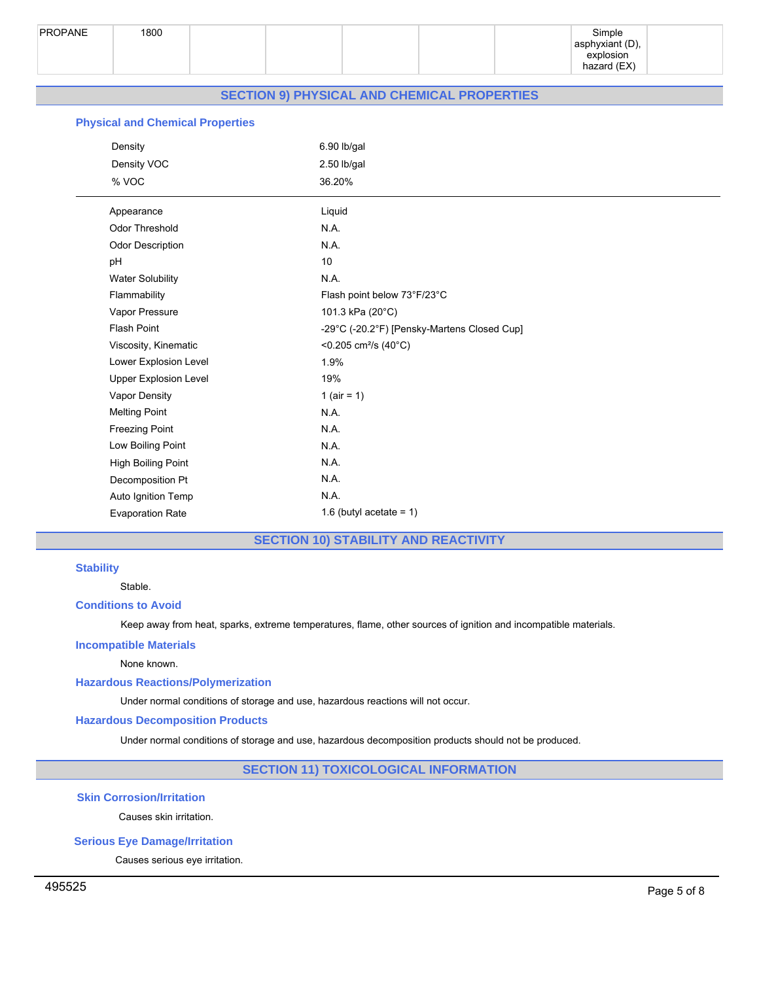

# **SECTION 9) PHYSICAL AND CHEMICAL PROPERTIES**

# **Physical and Chemical Properties**

| Density                      | $6.90$ lb/gal                               |
|------------------------------|---------------------------------------------|
| Density VOC                  | 2.50 lb/gal                                 |
| % VOC                        | 36.20%                                      |
| Appearance                   | Liquid                                      |
| <b>Odor Threshold</b>        | N.A.                                        |
| <b>Odor Description</b>      | N.A.                                        |
| pH                           | $10\,$                                      |
| <b>Water Solubility</b>      | N.A.                                        |
| Flammability                 | Flash point below 73°F/23°C                 |
| Vapor Pressure               | 101.3 kPa (20°C)                            |
| <b>Flash Point</b>           | -29°C (-20.2°F) [Pensky-Martens Closed Cup] |
| Viscosity, Kinematic         | <0.205 cm <sup>2</sup> /s (40 $^{\circ}$ C) |
| Lower Explosion Level        | 1.9%                                        |
| <b>Upper Explosion Level</b> | 19%                                         |
| Vapor Density                | 1 ( $air = 1$ )                             |
| <b>Melting Point</b>         | NA.                                         |
| <b>Freezing Point</b>        | N.A.                                        |
| Low Boiling Point            | N.A.                                        |
| High Boiling Point           | N.A.                                        |
| Decomposition Pt             | N.A.                                        |
| Auto Ignition Temp           | N.A.                                        |
| <b>Evaporation Rate</b>      | 1.6 (butyl acetate = $1$ )                  |
|                              |                                             |

# **SECTION 10) STABILITY AND REACTIVITY**

# **Stability**

Stable.

# **Conditions to Avoid**

Keep away from heat, sparks, extreme temperatures, flame, other sources of ignition and incompatible materials.

## **Incompatible Materials**

None known.

# **Hazardous Reactions/Polymerization**

Under normal conditions of storage and use, hazardous reactions will not occur.

## **Hazardous Decomposition Products**

Under normal conditions of storage and use, hazardous decomposition products should not be produced.

# **SECTION 11) TOXICOLOGICAL INFORMATION**

# **Skin Corrosion/Irritation**

Causes skin irritation.

# **Serious Eye Damage/Irritation**

Causes serious eye irritation.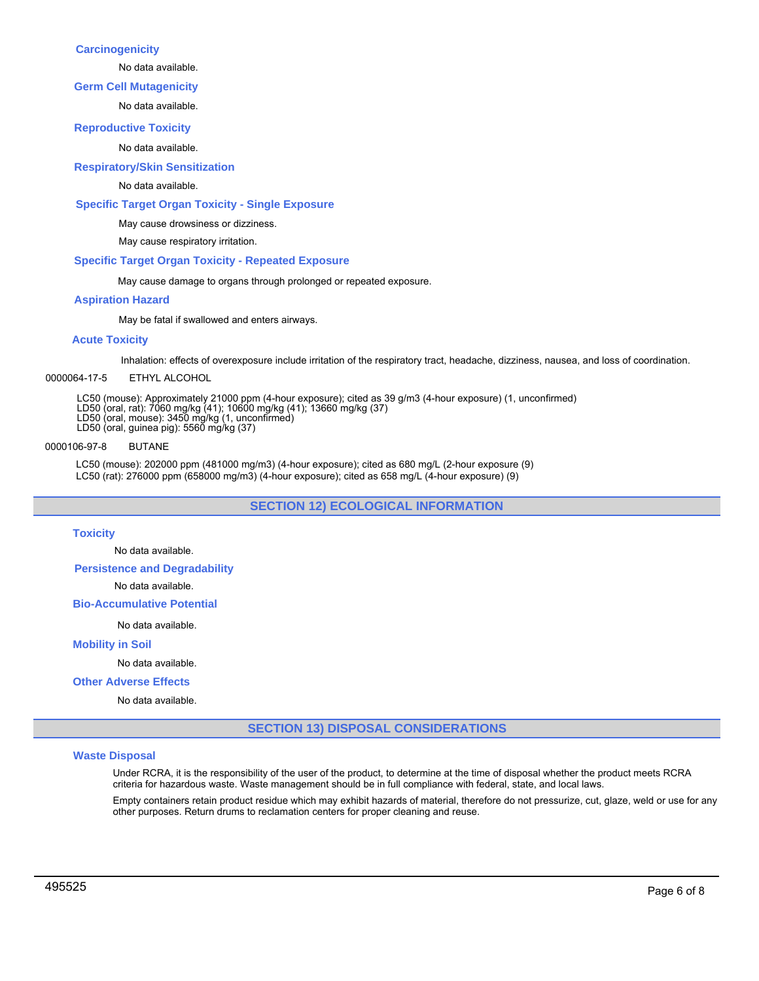## **Carcinogenicity**

No data available.

## **Germ Cell Mutagenicity**

No data available.

## **Reproductive Toxicity**

No data available.

# **Respiratory/Skin Sensitization**

## No data available.

## **Specific Target Organ Toxicity - Single Exposure**

May cause drowsiness or dizziness.

May cause respiratory irritation.

## **Specific Target Organ Toxicity - Repeated Exposure**

May cause damage to organs through prolonged or repeated exposure.

## **Aspiration Hazard**

May be fatal if swallowed and enters airways.

## **Acute Toxicity**

Inhalation: effects of overexposure include irritation of the respiratory tract, headache, dizziness, nausea, and loss of coordination.

## 0000064-17-5 ETHYL ALCOHOL

LC50 (mouse): Approximately 21000 ppm (4-hour exposure); cited as 39 g/m3 (4-hour exposure) (1, unconfirmed)

- LD50 (oral, rat): 7060 mg/kg (41); 10600 mg/kg (41); 13660 mg/kg (37) LD50 (oral, mouse): 3450 mg/kg (1, unconfirmed) LD50 (oral, guinea pig): 5560 mg/kg (37)
- 
- 

## 0000106-97-8 BUTANE

LC50 (mouse): 202000 ppm (481000 mg/m3) (4-hour exposure); cited as 680 mg/L (2-hour exposure (9) LC50 (rat): 276000 ppm (658000 mg/m3) (4-hour exposure); cited as 658 mg/L (4-hour exposure) (9)

**SECTION 12) ECOLOGICAL INFORMATION**

## **Toxicity**

No data available.

**Persistence and Degradability**

No data available.

## **Bio-Accumulative Potential**

No data available.

## **Mobility in Soil**

No data available.

## **Other Adverse Effects**

No data available.

# **SECTION 13) DISPOSAL CONSIDERATIONS**

## **Waste Disposal**

Under RCRA, it is the responsibility of the user of the product, to determine at the time of disposal whether the product meets RCRA criteria for hazardous waste. Waste management should be in full compliance with federal, state, and local laws.

Empty containers retain product residue which may exhibit hazards of material, therefore do not pressurize, cut, glaze, weld or use for any other purposes. Return drums to reclamation centers for proper cleaning and reuse.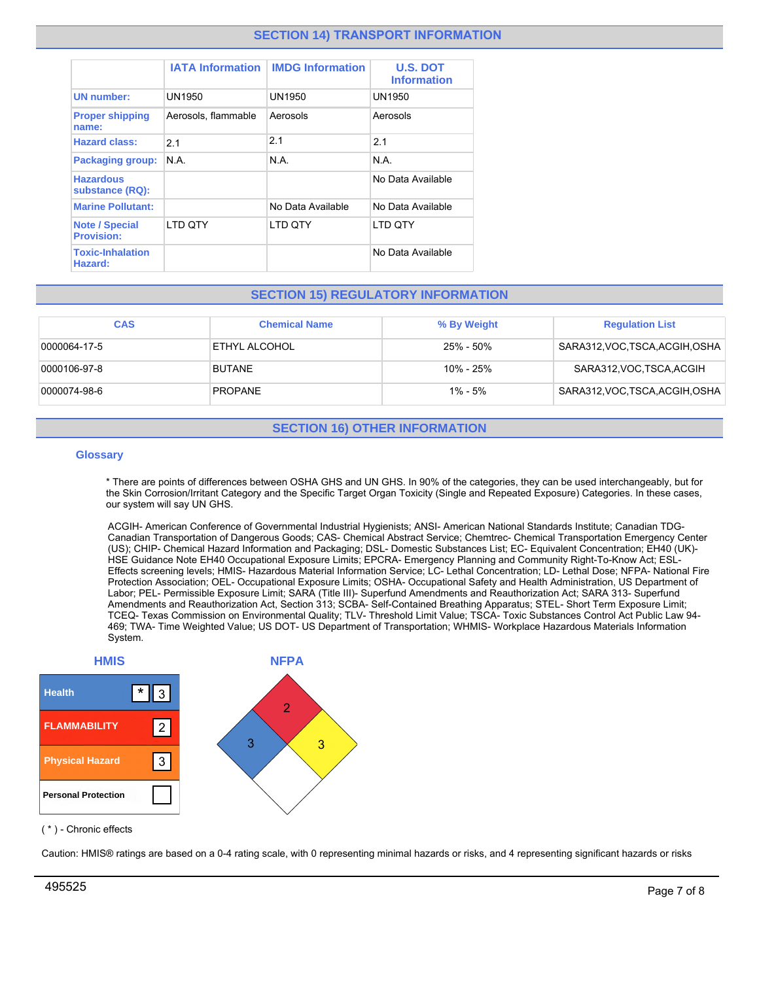# **SECTION 14) TRANSPORT INFORMATION**

|                                            | <b>IATA Information</b> | <b>IMDG Information</b> | <b>U.S. DOT</b><br><b>Information</b> |
|--------------------------------------------|-------------------------|-------------------------|---------------------------------------|
| <b>UN</b> number:                          | UN1950                  | UN1950                  | UN1950                                |
| <b>Proper shipping</b><br>name:            | Aerosols, flammable     | Aerosols                | Aerosols                              |
| <b>Hazard class:</b>                       | 2.1                     | 2.1                     | 2.1                                   |
| <b>Packaging group:</b>                    | N.A.                    | N.A.                    | N.A.                                  |
| <b>Hazardous</b><br>substance (RQ):        |                         |                         | No Data Available                     |
| <b>Marine Pollutant:</b>                   |                         | No Data Available       | No Data Available                     |
| <b>Note / Special</b><br><b>Provision:</b> | LTD QTY                 | LTD QTY                 | <b>LTD OTY</b>                        |
| <b>Toxic-Inhalation</b><br>Hazard:         |                         |                         | No Data Available                     |

# **SECTION 15) REGULATORY INFORMATION**

| <b>CAS</b>   | <b>Chemical Name</b> | % By Weight | <b>Regulation List</b>          |
|--------------|----------------------|-------------|---------------------------------|
| 0000064-17-5 | ETHYL ALCOHOL        | 25% - 50%   | SARA312, VOC, TSCA, ACGIH, OSHA |
| 0000106-97-8 | <b>BUTANE</b>        | 10% - 25%   | SARA312, VOC, TSCA, ACGIH       |
| 0000074-98-6 | <b>PROPANE</b>       | $1\% - 5\%$ | SARA312, VOC, TSCA, ACGIH, OSHA |

# **SECTION 16) OTHER INFORMATION**

# **Glossary**

\* There are points of differences between OSHA GHS and UN GHS. In 90% of the categories, they can be used interchangeably, but for the Skin Corrosion/Irritant Category and the Specific Target Organ Toxicity (Single and Repeated Exposure) Categories. In these cases, our system will say UN GHS.

ACGIH- American Conference of Governmental Industrial Hygienists; ANSI- American National Standards Institute; Canadian TDG-Canadian Transportation of Dangerous Goods; CAS- Chemical Abstract Service; Chemtrec- Chemical Transportation Emergency Center (US); CHIP- Chemical Hazard Information and Packaging; DSL- Domestic Substances List; EC- Equivalent Concentration; EH40 (UK)- HSE Guidance Note EH40 Occupational Exposure Limits; EPCRA- Emergency Planning and Community Right-To-Know Act; ESL-Effects screening levels; HMIS- Hazardous Material Information Service; LC- Lethal Concentration; LD- Lethal Dose; NFPA- National Fire Protection Association; OEL- Occupational Exposure Limits; OSHA- Occupational Safety and Health Administration, US Department of Labor; PEL- Permissible Exposure Limit; SARA (Title III)- Superfund Amendments and Reauthorization Act; SARA 313- Superfund Amendments and Reauthorization Act, Section 313; SCBA- Self-Contained Breathing Apparatus; STEL- Short Term Exposure Limit; TCEQ- Texas Commission on Environmental Quality; TLV- Threshold Limit Value; TSCA- Toxic Substances Control Act Public Law 94- 469; TWA- Time Weighted Value; US DOT- US Department of Transportation; WHMIS- Workplace Hazardous Materials Information System.



( \* ) - Chronic effects

Caution: HMIS® ratings are based on a 0-4 rating scale, with 0 representing minimal hazards or risks, and 4 representing significant hazards or risks